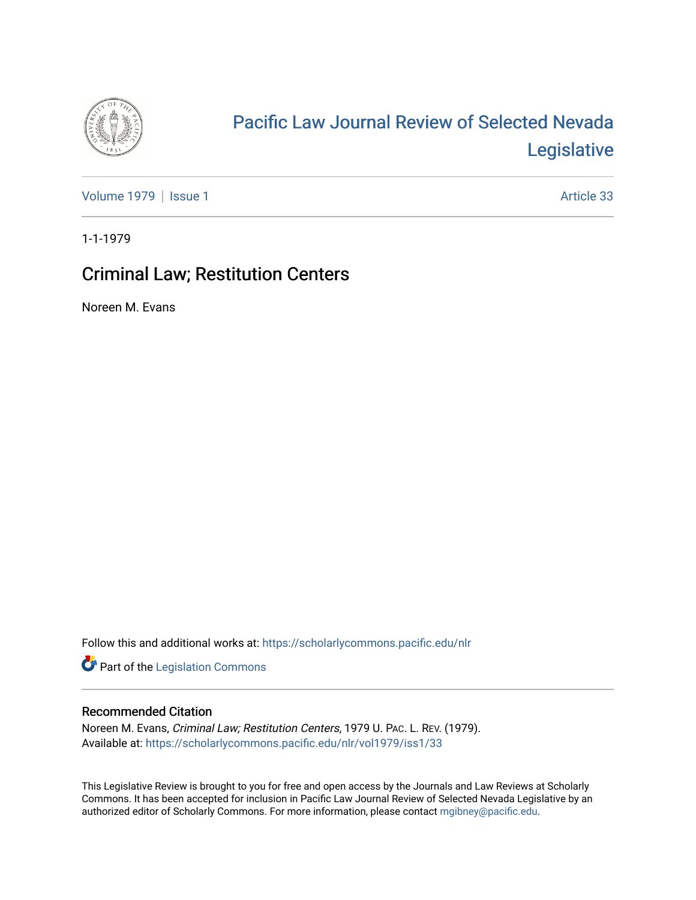

# [Pacific Law Journal Review of Selected Nevada](https://scholarlycommons.pacific.edu/nlr)  [Legislative](https://scholarlycommons.pacific.edu/nlr)

[Volume 1979](https://scholarlycommons.pacific.edu/nlr/vol1979) | [Issue 1](https://scholarlycommons.pacific.edu/nlr/vol1979/iss1) Article 33

1-1-1979

## Criminal Law; Restitution Centers

Noreen M. Evans

Follow this and additional works at: [https://scholarlycommons.pacific.edu/nlr](https://scholarlycommons.pacific.edu/nlr?utm_source=scholarlycommons.pacific.edu%2Fnlr%2Fvol1979%2Fiss1%2F33&utm_medium=PDF&utm_campaign=PDFCoverPages) 

**Part of the [Legislation Commons](http://network.bepress.com/hgg/discipline/859?utm_source=scholarlycommons.pacific.edu%2Fnlr%2Fvol1979%2Fiss1%2F33&utm_medium=PDF&utm_campaign=PDFCoverPages)** 

#### Recommended Citation

Noreen M. Evans, Criminal Law; Restitution Centers, 1979 U. PAC. L. REV. (1979). Available at: [https://scholarlycommons.pacific.edu/nlr/vol1979/iss1/33](https://scholarlycommons.pacific.edu/nlr/vol1979/iss1/33?utm_source=scholarlycommons.pacific.edu%2Fnlr%2Fvol1979%2Fiss1%2F33&utm_medium=PDF&utm_campaign=PDFCoverPages)

This Legislative Review is brought to you for free and open access by the Journals and Law Reviews at Scholarly Commons. It has been accepted for inclusion in Pacific Law Journal Review of Selected Nevada Legislative by an authorized editor of Scholarly Commons. For more information, please contact [mgibney@pacific.edu](mailto:mgibney@pacific.edu).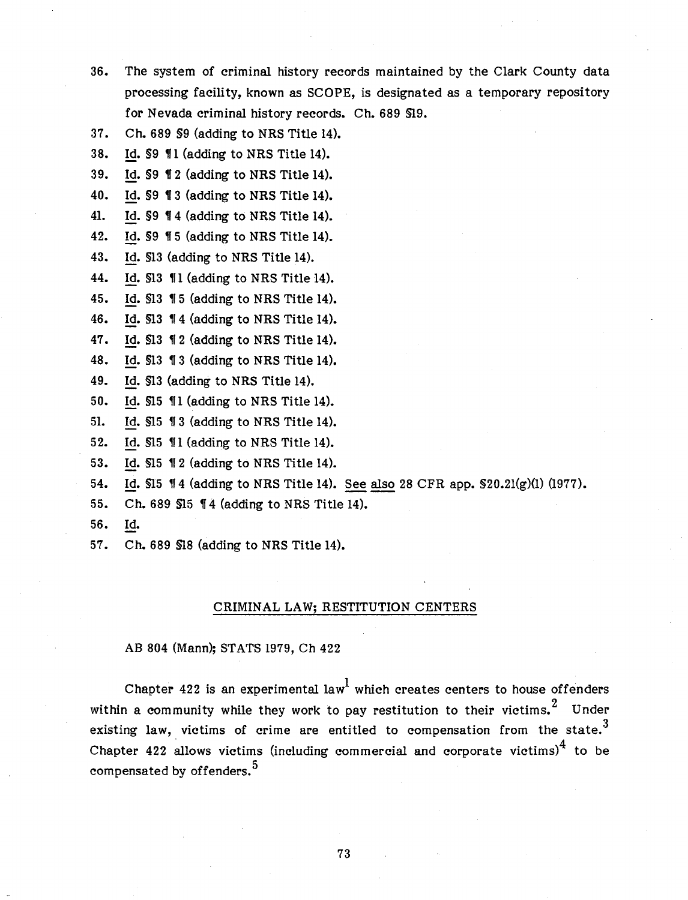- 36. The system of criminal history records maintained by the Clark County data processing facility, known as SCOPE, is designated as a temporary repository for Nevada criminal history records. Ch. 689 §19.
- 37. Ch. 689 §9 (adding to NRS Title 14).
- 38. Id.  $$9$   $$1$  (adding to NRS Title 14).
- 39. Id. \$9 12 (adding to NRS Title 14).
- 40. Id. \$9 13 (adding to NRS Title 14).
- 41. Id.  $$9$   $$4$  (adding to NRS Title 14).
- 42. Id.  $$9$   $$5$  (adding to NRS Title 14).
- 43. Id. §13 (adding to NRS Title 14).
- 44. Id. \$13 11 (adding to NRS Title 14).
- 45. Id. \$13 15 (adding to NRS Title 14).
- 46. Id. \$13 14 (adding to NRS Title 14).
- 47. Id. \$13 \, 12 (adding to NRS Title 14).
- 48. Id. \$13 13 (adding to NRS Title 14).
- 49. Id. §13 (adding to NRS Title 14).
- 50. Id.  $$15$   $$1$  (adding to NRS Title 14).
- 51. Id.  $$15 \text{ } 13$  (adding to NRS Title 14).
- 52. Id. \$15  $\P$ 1 (adding to NRS Title 14).
- 53. Id.  $$15 \text{ } 12$  (adding to NRS Title 14).
- 54. Id. \$15 14 (adding to NRS Title 14). See also 28 CFR app. \$20.21(g)(1) (1977).
- 55. Ch. 689 \$15 14 (adding to NRS Title 14).
- 56. Id.
- 57. Ch. 689 §18 (adding to NRS Title 14).

#### CRIMINAL LAW; RESTITUTION CENTERS

AB 804 (Mann); STATS 1979, Ch 422

Chapter 422 is an experimental law<sup>1</sup> which creates centers to house offenders within a community while they work to pay restitution to their victims.<sup>2</sup> Under existing law, victims of crime are entitled to compensation from the state.<sup>3</sup> Chapter 422 allows victims (including commercial and corporate victims) $4$  to be compensated by offenders.<sup>5</sup>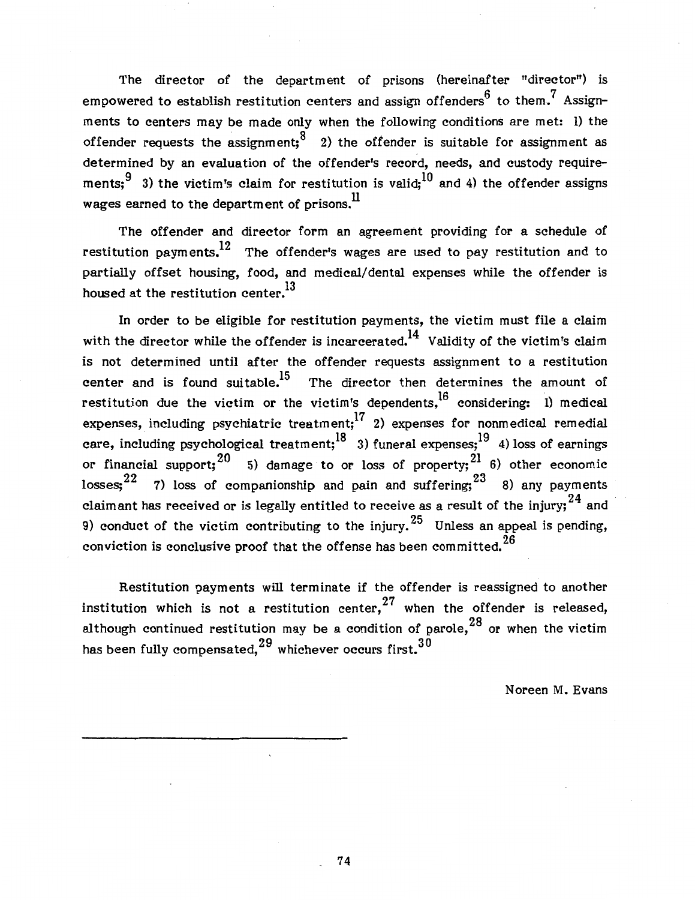The director of the department of prisons (hereinafter "director") is empowered to establish restitution centers and assign offenders<sup>6</sup> to them.<sup>7</sup> Assignments to centers may be made only when the following conditions are met: 1) the offender requests the assignment;<sup>8</sup> 2) the offender is suitable for assignment as determined by an evaluation of the offender's record, needs, and custody requirements;  $9^9$  3) the victim's claim for restitution is valid;<sup>10</sup> and 4) the offender assigns wages earned to the department of prisons.  $\mathbf{u}$ 

The offender and director form an agreement providing for a schedule of restitution payments.<sup>12</sup> The offender's wages are used to pay restitution and to partially offset housing, food, and medical/dental expenses while the offender is housed at the restitution center.<sup>13</sup>

In order to be eligible for restitution payments, the victim must file a claim with the director while the offender is incarcerated.<sup>14</sup> Validity of the victim's claim is not determined until after the offender requests assignment to a restitution center and is found suitable.<sup>15</sup> The director then determines the amount of restitution due the victim or the victim's dependents,  $^{16}$  considering: 1) medical expenses, including psychiatric treatment;  $17$  2) expenses for nonmedical remedial care, including psychological treatment;<sup>18</sup> 3) funeral expenses;<sup>19</sup> 4) loss of earnings or financial support;  $20$  5) damage to or loss of property;  $21$  6) other economic losses;  $^{22}$  7) loss of companionship and pain and suffering;  $^{23}$  8) any payments claimant has received or is legally entitled to receive as a result of the injury;  $^{24}$  and 9) conduct of the victim contributing to the injury.<sup>25</sup> Unless an appeal is pending, conviction is conclusive proof that the offense has been committed.<sup>26</sup>

Restitution payments will terminate if the offender is reassigned to another institution which is not a restitution center,  $27$  when the offender is released, although continued restitution may be a condition of parole,  $^{28}$  or when the victim has been fully compensated,  $29$  whichever occurs first.  $30$ 

Noreen M. Evans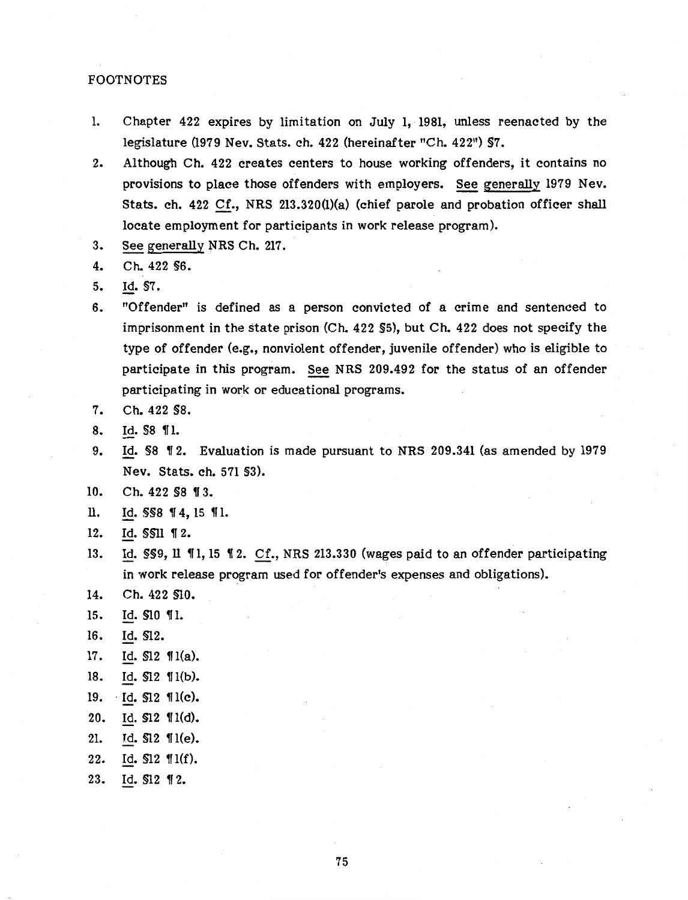#### FOOTNOTES

- 1. Chapter 422 expires by limitation on July 1, 1981, unless reenacted by the legislature (1979 Nev. Stats. ch. 422 (hereinafter "Ch. 422") §7.
- 2. Although Ch. 422 creates centers to house working offenders, it contains no provisions to place those offenders with employers. See generally 1979 Nev. Stats. ch. 422 Cf., NRS 213.320(l)(a) (chief parole and probation officer shall locate employment for participants in work release program).
- 3. See generally NRS Ch. 217.
- 4. Ch. 422 §6.
- 5. Id. §7.
- 6. "Offender" is defined as a person convicted of a crime and sentenced to imprisonment in the state prison (Ch. 422 §5), but Ch. 422 does not specify the type of offender (e.g., nonviolent offender, juvenile offender) who is eligible to participate in this program. See NRS 209.492 for the status of an offender participating in work or educational programs.
- 7. Ch. 422 §8.
- 8. Id. 58 11.
- 9. Id.  $\S 8$  12. Evaluation is made pursuant to NRS 209.341 (as amended by 1979 Nev. Stats. ch. 571 §3).

10. Ch. 422 §8 ¶ 3.

- 11. Id. §§8 ¶ 4, 15 ¶ 1.
- 12. Id. §§11 12.
- 13. Id. §§9, 11 11, 15 12. Cf., NRS 213.330 (wages paid to an offender participating in work release program used for offender's expenses and obligations).
- 14. Ch. 422 §10.
- 15. Id. \$10 11.
- 16. Id. §12.
- 17. Id.  $$12$   $$1(a)$ .
- 18. Id.  $$12$   $$1(b)$ .
- 19.  $Id. $12$   $\P1(c)$ .
- 20. Id.  $$12$   $$1(d)$ .
- 21. Id.  $$12$   $$1(e)$ .
- 22. Id.  $$12$   $$1(f)$ .
- 23. Id. \$12 12.